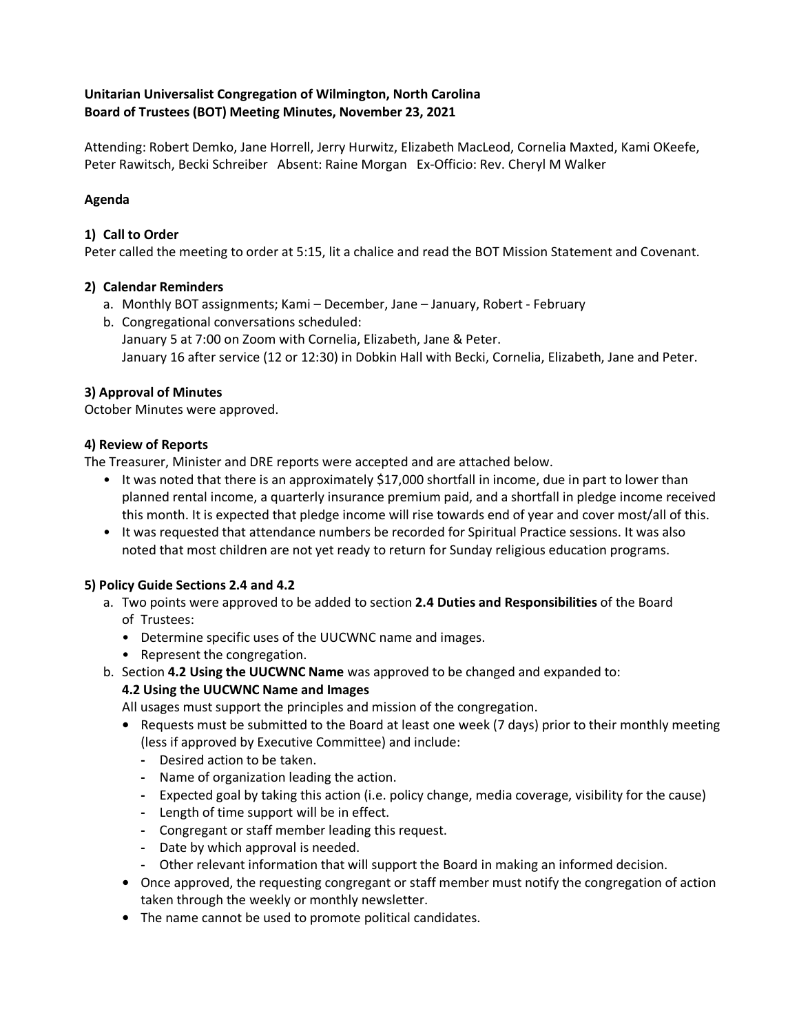### **Unitarian Universalist Congregation of Wilmington, North Carolina Board of Trustees (BOT) Meeting Minutes, November 23, 2021**

Attending: Robert Demko, Jane Horrell, Jerry Hurwitz, Elizabeth MacLeod, Cornelia Maxted, Kami OKeefe, Peter Rawitsch, Becki Schreiber Absent: Raine Morgan Ex-Officio: Rev. Cheryl M Walker

# **Agenda**

### **1) Call to Order**

Peter called the meeting to order at 5:15, lit a chalice and read the BOT Mission Statement and Covenant.

# **2) Calendar Reminders**

- a. Monthly BOT assignments; Kami December, Jane January, Robert February
- b. Congregational conversations scheduled: January 5 at 7:00 on Zoom with Cornelia, Elizabeth, Jane & Peter. January 16 after service (12 or 12:30) in Dobkin Hall with Becki, Cornelia, Elizabeth, Jane and Peter.

# **3) Approval of Minutes**

October Minutes were approved.

# **4) Review of Reports**

The Treasurer, Minister and DRE reports were accepted and are attached below.

- It was noted that there is an approximately \$17,000 shortfall in income, due in part to lower than planned rental income, a quarterly insurance premium paid, and a shortfall in pledge income received this month. It is expected that pledge income will rise towards end of year and cover most/all of this.
- It was requested that attendance numbers be recorded for Spiritual Practice sessions. It was also noted that most children are not yet ready to return for Sunday religious education programs.

### **5) Policy Guide Sections 2.4 and 4.2**

- a. Two points were approved to be added to section **2.4 Duties and Responsibilities** of the Board of Trustees:
	- Determine specific uses of the UUCWNC name and images.
	- Represent the congregation.
- b. Section **4.2 Using the UUCWNC Name** was approved to be changed and expanded to:

# **4.2 Using the UUCWNC Name and Images**

All usages must support the principles and mission of the congregation.

- **•** Requests must be submitted to the Board at least one week (7 days) prior to their monthly meeting (less if approved by Executive Committee) and include:
	- **-** Desired action to be taken.
	- **-** Name of organization leading the action.
	- **-** Expected goal by taking this action (i.e. policy change, media coverage, visibility for the cause)
	- **-** Length of time support will be in effect.
	- **-** Congregant or staff member leading this request.
	- **-** Date by which approval is needed.
	- **-** Other relevant information that will support the Board in making an informed decision.
- **•** Once approved, the requesting congregant or staff member must notify the congregation of action taken through the weekly or monthly newsletter.
- **•** The name cannot be used to promote political candidates.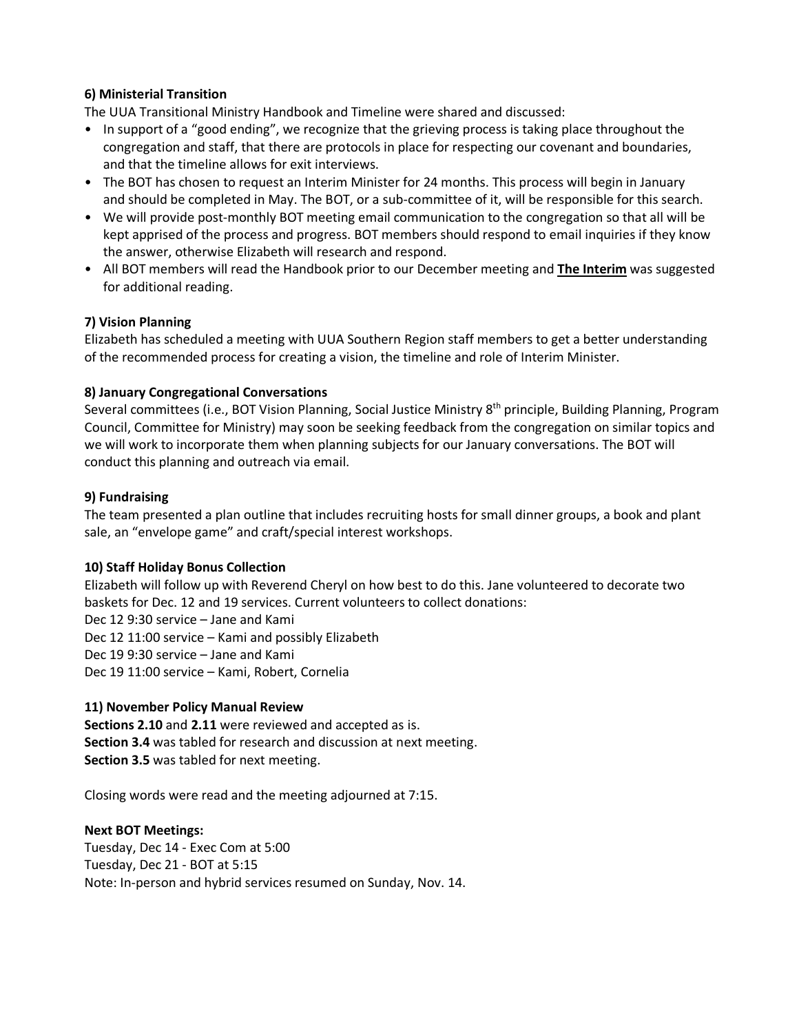### **6) Ministerial Transition**

The UUA Transitional Ministry Handbook and Timeline were shared and discussed:

- In support of a "good ending", we recognize that the grieving process is taking place throughout the congregation and staff, that there are protocols in place for respecting our covenant and boundaries, and that the timeline allows for exit interviews.
- The BOT has chosen to request an Interim Minister for 24 months. This process will begin in January and should be completed in May. The BOT, or a sub-committee of it, will be responsible for this search.
- We will provide post-monthly BOT meeting email communication to the congregation so that all will be kept apprised of the process and progress. BOT members should respond to email inquiries if they know the answer, otherwise Elizabeth will research and respond.
- All BOT members will read the Handbook prior to our December meeting and **The Interim** was suggested for additional reading.

#### **7) Vision Planning**

Elizabeth has scheduled a meeting with UUA Southern Region staff members to get a better understanding of the recommended process for creating a vision, the timeline and role of Interim Minister.

#### **8) January Congregational Conversations**

Several committees (i.e., BOT Vision Planning, Social Justice Ministry 8<sup>th</sup> principle, Building Planning, Program Council, Committee for Ministry) may soon be seeking feedback from the congregation on similar topics and we will work to incorporate them when planning subjects for our January conversations. The BOT will conduct this planning and outreach via email.

#### **9) Fundraising**

The team presented a plan outline that includes recruiting hosts for small dinner groups, a book and plant sale, an "envelope game" and craft/special interest workshops.

#### **10) Staff Holiday Bonus Collection**

Elizabeth will follow up with Reverend Cheryl on how best to do this. Jane volunteered to decorate two baskets for Dec. 12 and 19 services. Current volunteers to collect donations: Dec 12 9:30 service – Jane and Kami Dec 12 11:00 service – Kami and possibly Elizabeth Dec 19 9:30 service – Jane and Kami Dec 19 11:00 service – Kami, Robert, Cornelia

#### **11) November Policy Manual Review**

**Sections 2.10** and **2.11** were reviewed and accepted as is. **Section 3.4** was tabled for research and discussion at next meeting. **Section 3.5** was tabled for next meeting.

Closing words were read and the meeting adjourned at 7:15.

#### **Next BOT Meetings:**

Tuesday, Dec 14 - Exec Com at 5:00 Tuesday, Dec 21 - BOT at 5:15 Note: In-person and hybrid services resumed on Sunday, Nov. 14.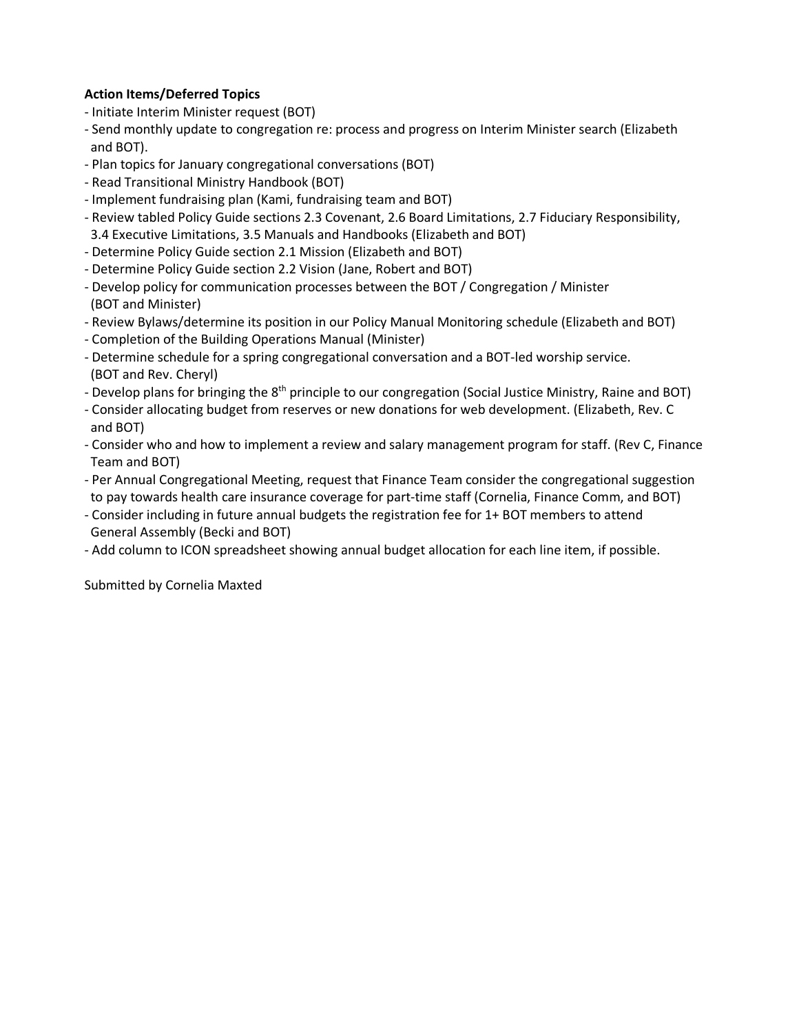# **Action Items/Deferred Topics**

- Initiate Interim Minister request (BOT)
- Send monthly update to congregation re: process and progress on Interim Minister search (Elizabeth and BOT).
- Plan topics for January congregational conversations (BOT)
- Read Transitional Ministry Handbook (BOT)
- Implement fundraising plan (Kami, fundraising team and BOT)
- Review tabled Policy Guide sections 2.3 Covenant, 2.6 Board Limitations, 2.7 Fiduciary Responsibility, 3.4 Executive Limitations, 3.5 Manuals and Handbooks (Elizabeth and BOT)
- Determine Policy Guide section 2.1 Mission (Elizabeth and BOT)
- Determine Policy Guide section 2.2 Vision (Jane, Robert and BOT)
- Develop policy for communication processes between the BOT / Congregation / Minister (BOT and Minister)
- Review Bylaws/determine its position in our Policy Manual Monitoring schedule (Elizabeth and BOT)
- Completion of the Building Operations Manual (Minister)
- Determine schedule for a spring congregational conversation and a BOT-led worship service. (BOT and Rev. Cheryl)
- Develop plans for bringing the 8<sup>th</sup> principle to our congregation (Social Justice Ministry, Raine and BOT)
- Consider allocating budget from reserves or new donations for web development. (Elizabeth, Rev. C and BOT)
- Consider who and how to implement a review and salary management program for staff. (Rev C, Finance Team and BOT)
- Per Annual Congregational Meeting, request that Finance Team consider the congregational suggestion to pay towards health care insurance coverage for part-time staff (Cornelia, Finance Comm, and BOT)
- Consider including in future annual budgets the registration fee for 1+ BOT members to attend General Assembly (Becki and BOT)
- Add column to ICON spreadsheet showing annual budget allocation for each line item, if possible.

Submitted by Cornelia Maxted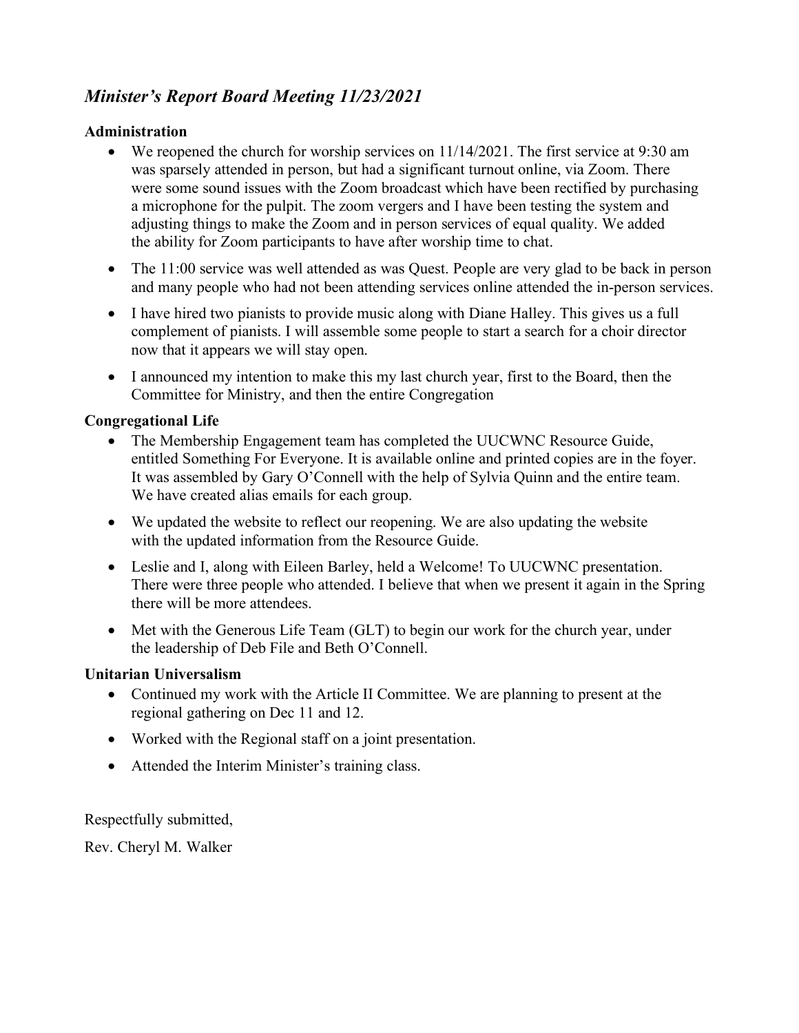# *Minister's Report Board Meeting 11/23/2021*

# **Administration**

- We reopened the church for worship services on 11/14/2021. The first service at 9:30 am was sparsely attended in person, but had a significant turnout online, via Zoom. There were some sound issues with the Zoom broadcast which have been rectified by purchasing a microphone for the pulpit. The zoom vergers and I have been testing the system and adjusting things to make the Zoom and in person services of equal quality. We added the ability for Zoom participants to have after worship time to chat.
- The 11:00 service was well attended as was Quest. People are very glad to be back in person and many people who had not been attending services online attended the in-person services.
- I have hired two pianists to provide music along with Diane Halley. This gives us a full complement of pianists. I will assemble some people to start a search for a choir director now that it appears we will stay open.
- I announced my intention to make this my last church year, first to the Board, then the Committee for Ministry, and then the entire Congregation

# **Congregational Life**

- The Membership Engagement team has completed the UUCWNC Resource Guide, entitled Something For Everyone. It is available online and printed copies are in the foyer. It was assembled by Gary O'Connell with the help of Sylvia Quinn and the entire team. We have created alias emails for each group.
- We updated the website to reflect our reopening. We are also updating the website with the updated information from the Resource Guide.
- Leslie and I, along with Eileen Barley, held a Welcome! To UUCWNC presentation. There were three people who attended. I believe that when we present it again in the Spring there will be more attendees.
- Met with the Generous Life Team (GLT) to begin our work for the church year, under the leadership of Deb File and Beth O'Connell.

# **Unitarian Universalism**

- Continued my work with the Article II Committee. We are planning to present at the regional gathering on Dec 11 and 12.
- Worked with the Regional staff on a joint presentation.
- Attended the Interim Minister's training class.

Respectfully submitted,

Rev. Cheryl M. Walker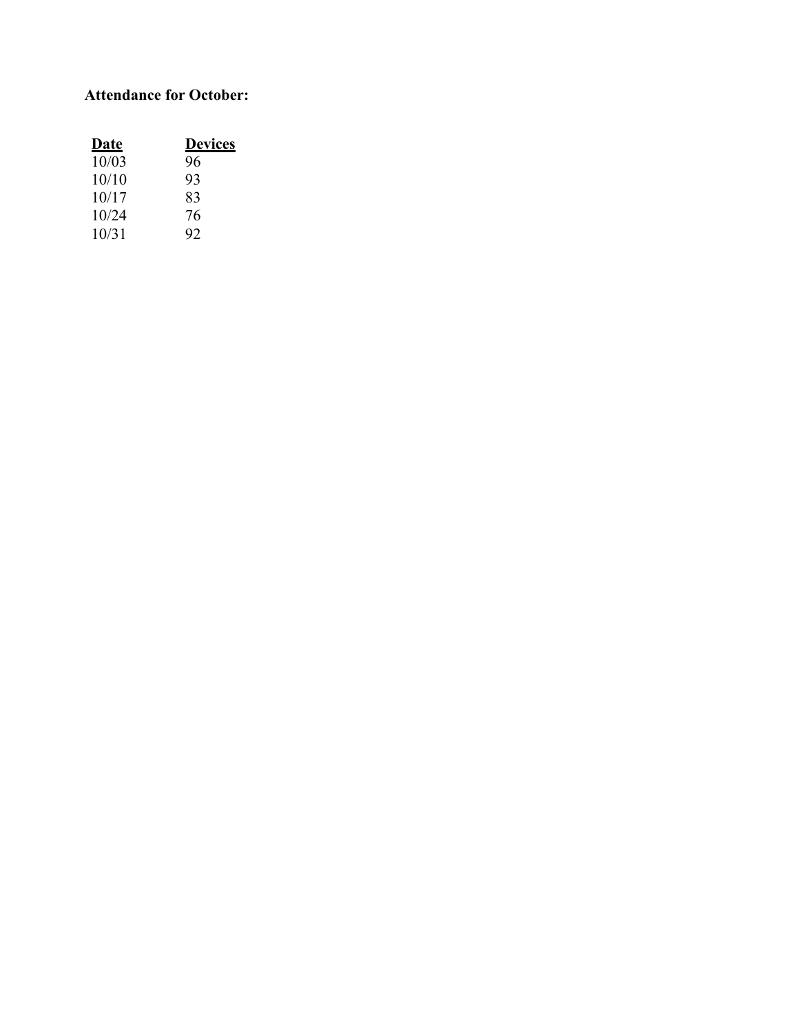# **Attendance for October:**

| <u>Date</u> | <b>Devices</b> |
|-------------|----------------|
| 10/03       | 96             |
| 10/10       | 93             |
| 10/17       | 83             |
| 10/24       | 76             |
| 10/31       | 92             |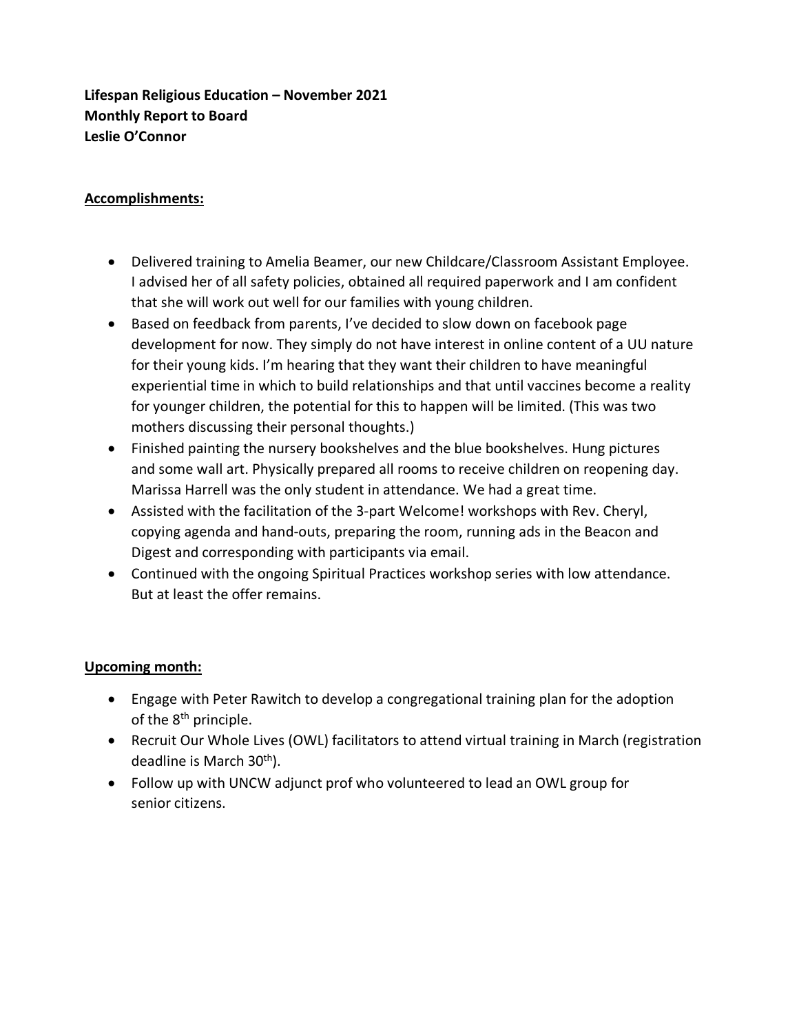**Lifespan Religious Education – November 2021 Monthly Report to Board Leslie O'Connor**

# **Accomplishments:**

- Delivered training to Amelia Beamer, our new Childcare/Classroom Assistant Employee. I advised her of all safety policies, obtained all required paperwork and I am confident that she will work out well for our families with young children.
- Based on feedback from parents, I've decided to slow down on facebook page development for now. They simply do not have interest in online content of a UU nature for their young kids. I'm hearing that they want their children to have meaningful experiential time in which to build relationships and that until vaccines become a reality for younger children, the potential for this to happen will be limited. (This was two mothers discussing their personal thoughts.)
- Finished painting the nursery bookshelves and the blue bookshelves. Hung pictures and some wall art. Physically prepared all rooms to receive children on reopening day. Marissa Harrell was the only student in attendance. We had a great time.
- Assisted with the facilitation of the 3-part Welcome! workshops with Rev. Cheryl, copying agenda and hand-outs, preparing the room, running ads in the Beacon and Digest and corresponding with participants via email.
- Continued with the ongoing Spiritual Practices workshop series with low attendance. But at least the offer remains.

# **Upcoming month:**

- Engage with Peter Rawitch to develop a congregational training plan for the adoption of the 8<sup>th</sup> principle.
- Recruit Our Whole Lives (OWL) facilitators to attend virtual training in March (registration deadline is March 30<sup>th</sup>).
- Follow up with UNCW adjunct prof who volunteered to lead an OWL group for senior citizens.